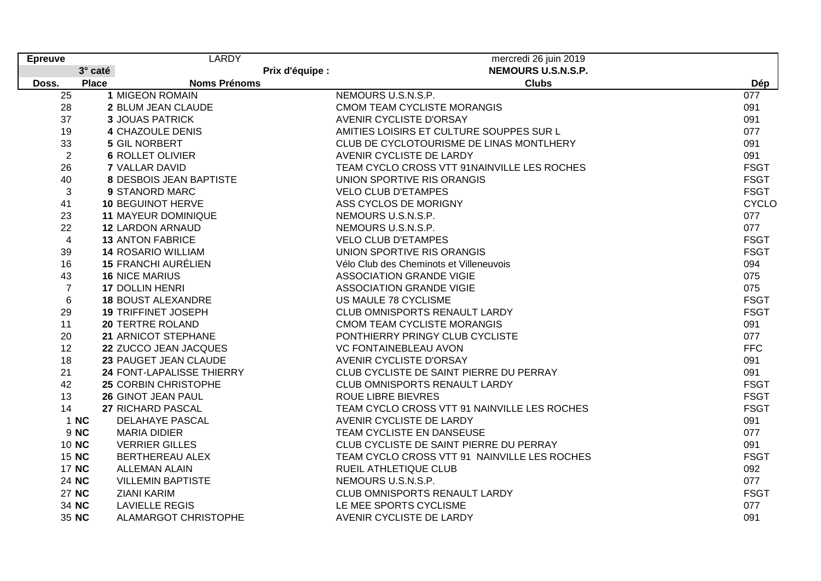| <b>Epreuve</b>  |              | <b>LARDY</b>               |                 | mercredi 26 juin 2019                        |              |
|-----------------|--------------|----------------------------|-----------------|----------------------------------------------|--------------|
|                 | 3° caté      |                            | Prix d'équipe : | NEMOURS U.S.N.S.P.                           |              |
| Doss.           | <b>Place</b> | <b>Noms Prénoms</b>        |                 | <b>Clubs</b>                                 | Dép          |
| $\overline{25}$ |              | <b>1 MIGEON ROMAIN</b>     |                 | NEMOURS U.S.N.S.P.                           | 077          |
| 28              |              | 2 BLUM JEAN CLAUDE         |                 | <b>CMOM TEAM CYCLISTE MORANGIS</b>           | 091          |
| 37              |              | <b>3 JOUAS PATRICK</b>     |                 | AVENIR CYCLISTE D'ORSAY                      | 091          |
| 19              |              | <b>4 CHAZOULE DENIS</b>    |                 | AMITIES LOISIRS ET CULTURE SOUPPES SUR L     | 077          |
| 33              |              | 5 GIL NORBERT              |                 | CLUB DE CYCLOTOURISME DE LINAS MONTLHERY     | 091          |
| $\overline{2}$  |              | <b>6 ROLLET OLIVIER</b>    |                 | AVENIR CYCLISTE DE LARDY                     | 091          |
| 26              |              | <b>7 VALLAR DAVID</b>      |                 | TEAM CYCLO CROSS VTT 91NAINVILLE LES ROCHES  | <b>FSGT</b>  |
| 40              |              | 8 DESBOIS JEAN BAPTISTE    |                 | UNION SPORTIVE RIS ORANGIS                   | <b>FSGT</b>  |
| 3               |              | 9 STANORD MARC             |                 | <b>VELO CLUB D'ETAMPES</b>                   | <b>FSGT</b>  |
| 41              |              | <b>10 BEGUINOT HERVE</b>   |                 | ASS CYCLOS DE MORIGNY                        | <b>CYCLO</b> |
| 23              |              | <b>11 MAYEUR DOMINIQUE</b> |                 | NEMOURS U.S.N.S.P.                           | 077          |
| 22              |              | <b>12 LARDON ARNAUD</b>    |                 | NEMOURS U.S.N.S.P.                           | 077          |
| $\overline{4}$  |              | <b>13 ANTON FABRICE</b>    |                 | <b>VELO CLUB D'ETAMPES</b>                   | <b>FSGT</b>  |
| 39              |              | <b>14 ROSARIO WILLIAM</b>  |                 | UNION SPORTIVE RIS ORANGIS                   | <b>FSGT</b>  |
| 16              |              | <b>15 FRANCHI AURÉLIEN</b> |                 | Vélo Club des Cheminots et Villeneuvois      | 094          |
| 43              |              | <b>16 NICE MARIUS</b>      |                 | <b>ASSOCIATION GRANDE VIGIE</b>              | 075          |
| $\overline{7}$  |              | <b>17 DOLLIN HENRI</b>     |                 | <b>ASSOCIATION GRANDE VIGIE</b>              | 075          |
| 6               |              | <b>18 BOUST ALEXANDRE</b>  |                 | US MAULE 78 CYCLISME                         | <b>FSGT</b>  |
| 29              |              | <b>19 TRIFFINET JOSEPH</b> |                 | CLUB OMNISPORTS RENAULT LARDY                | <b>FSGT</b>  |
| 11              |              | <b>20 TERTRE ROLAND</b>    |                 | <b>CMOM TEAM CYCLISTE MORANGIS</b>           | 091          |
| 20              |              | 21 ARNICOT STEPHANE        |                 | PONTHIERRY PRINGY CLUB CYCLISTE              | 077          |
| 12              |              | 22 ZUCCO JEAN JACQUES      |                 | <b>VC FONTAINEBLEAU AVON</b>                 | <b>FFC</b>   |
| 18              |              | 23 PAUGET JEAN CLAUDE      |                 | <b>AVENIR CYCLISTE D'ORSAY</b>               | 091          |
| 21              |              | 24 FONT-LAPALISSE THIERRY  |                 | CLUB CYCLISTE DE SAINT PIERRE DU PERRAY      | 091          |
| 42              |              | 25 CORBIN CHRISTOPHE       |                 | CLUB OMNISPORTS RENAULT LARDY                | <b>FSGT</b>  |
| 13              |              | 26 GINOT JEAN PAUL         |                 | <b>ROUE LIBRE BIEVRES</b>                    | <b>FSGT</b>  |
| 14              |              | 27 RICHARD PASCAL          |                 | TEAM CYCLO CROSS VTT 91 NAINVILLE LES ROCHES | <b>FSGT</b>  |
|                 | 1 NC         | <b>DELAHAYE PASCAL</b>     |                 | AVENIR CYCLISTE DE LARDY                     | 091          |
|                 | 9 NC         | <b>MARIA DIDIER</b>        |                 | TEAM CYCLISTE EN DANSEUSE                    | 077          |
|                 | 10 NC        | <b>VERRIER GILLES</b>      |                 | CLUB CYCLISTE DE SAINT PIERRE DU PERRAY      | 091          |
|                 | 15 NC        | BERTHEREAU ALEX            |                 | TEAM CYCLO CROSS VTT 91 NAINVILLE LES ROCHES | <b>FSGT</b>  |
|                 | 17 NC        | <b>ALLEMAN ALAIN</b>       |                 | RUEIL ATHLETIQUE CLUB                        | 092          |
|                 | 24 NC        | <b>VILLEMIN BAPTISTE</b>   |                 | NEMOURS U.S.N.S.P.                           | 077          |
|                 | 27 NC        | <b>ZIANI KARIM</b>         |                 | CLUB OMNISPORTS RENAULT LARDY                | <b>FSGT</b>  |
|                 | 34 NC        | <b>LAVIELLE REGIS</b>      |                 | LE MEE SPORTS CYCLISME                       | 077          |
|                 | 35 NC        | ALAMARGOT CHRISTOPHE       |                 | AVENIR CYCLISTE DE LARDY                     | 091          |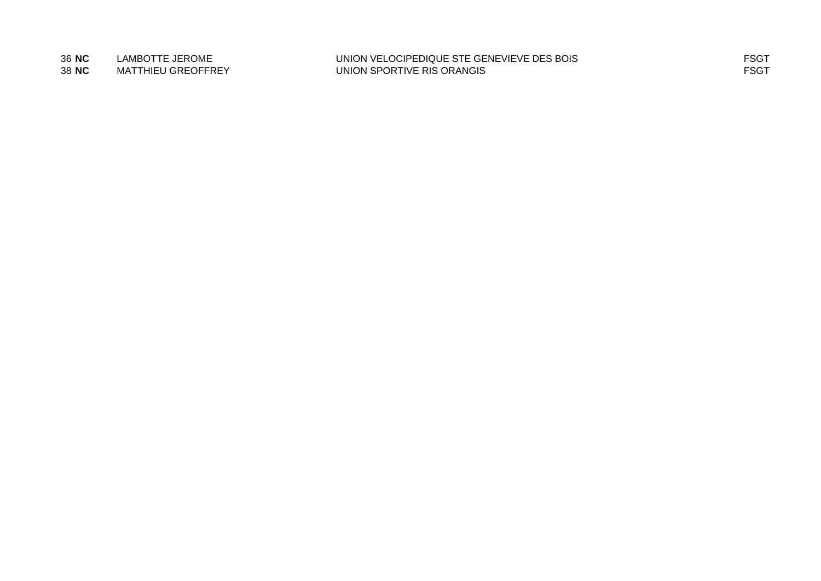36 NC LAMBOTTE JEROME UNION VELOCIPEDIQUE STE GENEVIEVE DES BOIS<br>38 NC MATTHIEU GREOFFREY UNION SPORTIVE RIS ORANGIS **UNION SPORTIVE RIS ORANGIS**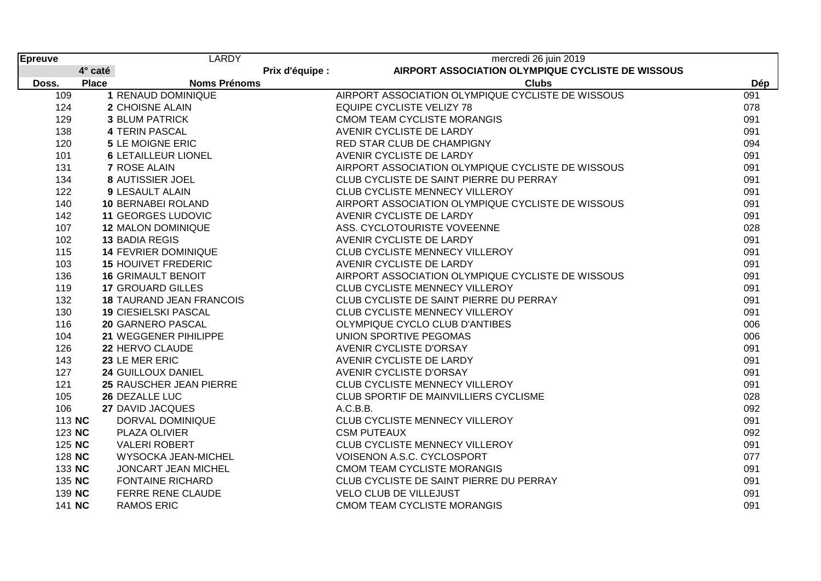| Epreuve |              | <b>LARDY</b>                    |                 | mercredi 26 juin 2019                             |     |
|---------|--------------|---------------------------------|-----------------|---------------------------------------------------|-----|
|         | 4° caté      |                                 | Prix d'équipe : | AIRPORT ASSOCIATION OLYMPIQUE CYCLISTE DE WISSOUS |     |
| Doss.   | <b>Place</b> | <b>Noms Prénoms</b>             |                 | <b>Clubs</b>                                      | Dép |
| 109     |              | 1 RENAUD DOMINIQUE              |                 | AIRPORT ASSOCIATION OLYMPIQUE CYCLISTE DE WISSOUS | 091 |
| 124     |              | 2 CHOISNE ALAIN                 |                 | <b>EQUIPE CYCLISTE VELIZY 78</b>                  | 078 |
| 129     |              | <b>3 BLUM PATRICK</b>           |                 | <b>CMOM TEAM CYCLISTE MORANGIS</b>                | 091 |
| 138     |              | <b>4 TERIN PASCAL</b>           |                 | AVENIR CYCLISTE DE LARDY                          | 091 |
| 120     |              | <b>5 LE MOIGNE ERIC</b>         |                 | RED STAR CLUB DE CHAMPIGNY                        | 094 |
| 101     |              | <b>6 LETAILLEUR LIONEL</b>      |                 | AVENIR CYCLISTE DE LARDY                          | 091 |
| 131     |              | <b>7 ROSE ALAIN</b>             |                 | AIRPORT ASSOCIATION OLYMPIQUE CYCLISTE DE WISSOUS | 091 |
| 134     |              | 8 AUTISSIER JOEL                |                 | CLUB CYCLISTE DE SAINT PIERRE DU PERRAY           | 091 |
| 122     |              | <b>9 LESAULT ALAIN</b>          |                 | CLUB CYCLISTE MENNECY VILLEROY                    | 091 |
| 140     |              | <b>10 BERNABEI ROLAND</b>       |                 | AIRPORT ASSOCIATION OLYMPIQUE CYCLISTE DE WISSOUS | 091 |
| 142     |              | <b>11 GEORGES LUDOVIC</b>       |                 | AVENIR CYCLISTE DE LARDY                          | 091 |
| 107     |              | <b>12 MALON DOMINIQUE</b>       |                 | ASS. CYCLOTOURISTE VOVEENNE                       | 028 |
| 102     |              | 13 BADIA REGIS                  |                 | AVENIR CYCLISTE DE LARDY                          | 091 |
| 115     |              | <b>14 FEVRIER DOMINIQUE</b>     |                 | <b>CLUB CYCLISTE MENNECY VILLEROY</b>             | 091 |
| 103     |              | <b>15 HOUIVET FREDERIC</b>      |                 | AVENIR CYCLISTE DE LARDY                          | 091 |
| 136     |              | <b>16 GRIMAULT BENOIT</b>       |                 | AIRPORT ASSOCIATION OLYMPIQUE CYCLISTE DE WISSOUS | 091 |
| 119     |              | <b>17 GROUARD GILLES</b>        |                 | CLUB CYCLISTE MENNECY VILLEROY                    | 091 |
| 132     |              | <b>18 TAURAND JEAN FRANCOIS</b> |                 | CLUB CYCLISTE DE SAINT PIERRE DU PERRAY           | 091 |
| 130     |              | <b>19 CIESIELSKI PASCAL</b>     |                 | CLUB CYCLISTE MENNECY VILLEROY                    | 091 |
| 116     |              | 20 GARNERO PASCAL               |                 | OLYMPIQUE CYCLO CLUB D'ANTIBES                    | 006 |
| 104     |              | 21 WEGGENER PIHILIPPE           |                 | UNION SPORTIVE PEGOMAS                            | 006 |
| 126     |              | 22 HERVO CLAUDE                 |                 | <b>AVENIR CYCLISTE D'ORSAY</b>                    | 091 |
| 143     |              | 23 LE MER ERIC                  |                 | AVENIR CYCLISTE DE LARDY                          | 091 |
| 127     |              | 24 GUILLOUX DANIEL              |                 | <b>AVENIR CYCLISTE D'ORSAY</b>                    | 091 |
| 121     |              | 25 RAUSCHER JEAN PIERRE         |                 | CLUB CYCLISTE MENNECY VILLEROY                    | 091 |
| 105     |              | 26 DEZALLE LUC                  |                 | CLUB SPORTIF DE MAINVILLIERS CYCLISME             | 028 |
| 106     |              | 27 DAVID JACQUES                |                 | A.C.B.B.                                          | 092 |
| 113 NC  |              | DORVAL DOMINIQUE                |                 | CLUB CYCLISTE MENNECY VILLEROY                    | 091 |
| 123 NC  |              | PLAZA OLIVIER                   |                 | <b>CSM PUTEAUX</b>                                | 092 |
| 125 NC  |              | <b>VALERI ROBERT</b>            |                 | CLUB CYCLISTE MENNECY VILLEROY                    | 091 |
| 128 NC  |              | <b>WYSOCKA JEAN-MICHEL</b>      |                 | VOISENON A.S.C. CYCLOSPORT                        | 077 |
| 133 NC  |              | JONCART JEAN MICHEL             |                 | <b>CMOM TEAM CYCLISTE MORANGIS</b>                | 091 |
| 135 NC  |              | <b>FONTAINE RICHARD</b>         |                 | CLUB CYCLISTE DE SAINT PIERRE DU PERRAY           | 091 |
| 139 NC  |              | <b>FERRE RENE CLAUDE</b>        |                 | VELO CLUB DE VILLEJUST                            | 091 |
| 141 NC  |              | <b>RAMOS ERIC</b>               |                 | <b>CMOM TEAM CYCLISTE MORANGIS</b>                | 091 |